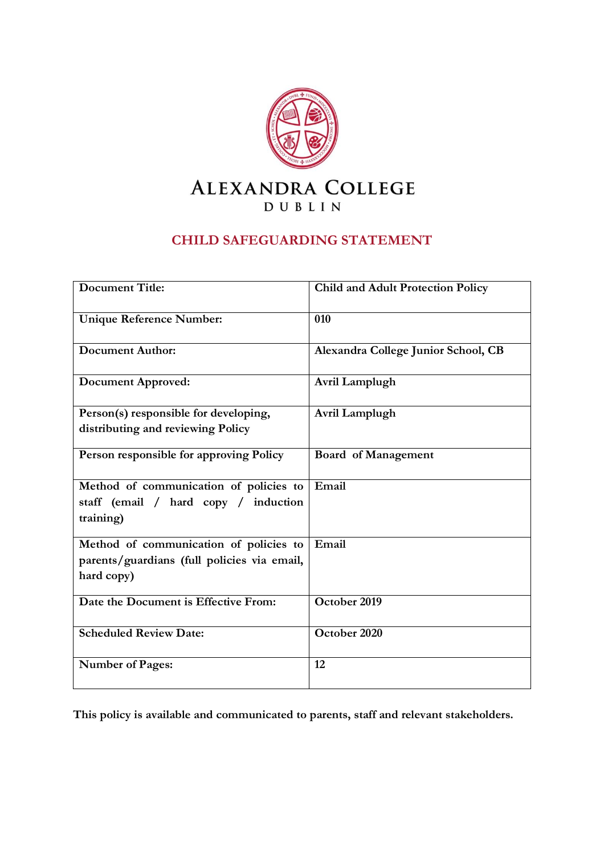

#### **CHILD SAFEGUARDING STATEMENT**

| <b>Document Title:</b>                      | <b>Child and Adult Protection Policy</b> |
|---------------------------------------------|------------------------------------------|
| <b>Unique Reference Number:</b>             | 010                                      |
| Document Author:                            | Alexandra College Junior School, CB      |
| Document Approved:                          | Avril Lamplugh                           |
| Person(s) responsible for developing,       | Avril Lamplugh                           |
| distributing and reviewing Policy           |                                          |
| Person responsible for approving Policy     | Board of Management                      |
| Method of communication of policies to      | Email                                    |
| staff (email / hard copy / induction        |                                          |
| training)                                   |                                          |
| Method of communication of policies to      | Email                                    |
| parents/guardians (full policies via email, |                                          |
| hard copy)                                  |                                          |
| Date the Document is Effective From:        | October 2019                             |
| <b>Scheduled Review Date:</b>               | October 2020                             |
| <b>Number of Pages:</b>                     | 12                                       |

**This policy is available and communicated to parents, staff and relevant stakeholders.**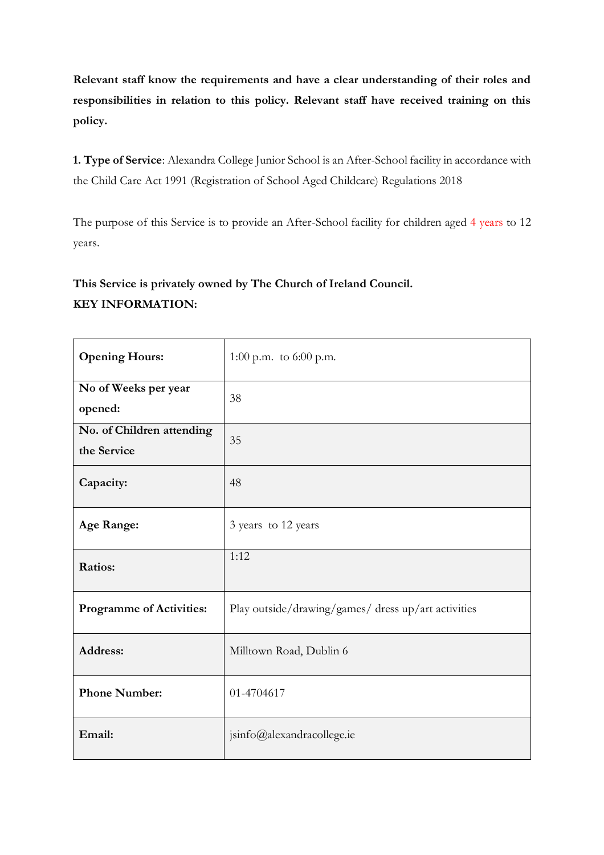**Relevant staff know the requirements and have a clear understanding of their roles and responsibilities in relation to this policy. Relevant staff have received training on this policy.** 

**1. Type of Service**: Alexandra College Junior School is an After-School facility in accordance with the Child Care Act 1991 (Registration of School Aged Childcare) Regulations 2018

The purpose of this Service is to provide an After-School facility for children aged 4 years to 12 years.

### **This Service is privately owned by The Church of Ireland Council. KEY INFORMATION:**

| <b>Opening Hours:</b>                    | 1:00 p.m. to $6:00$ p.m.                            |
|------------------------------------------|-----------------------------------------------------|
| No of Weeks per year<br>opened:          | 38                                                  |
| No. of Children attending<br>the Service | 35                                                  |
| Capacity:                                | 48                                                  |
| <b>Age Range:</b>                        | 3 years to 12 years                                 |
| <b>Ratios:</b>                           | 1:12                                                |
| <b>Programme of Activities:</b>          | Play outside/drawing/games/ dress up/art activities |
| Address:                                 | Milltown Road, Dublin 6                             |
| <b>Phone Number:</b>                     | 01-4704617                                          |
| Email:                                   | jsinfo@alexandracollege.ie                          |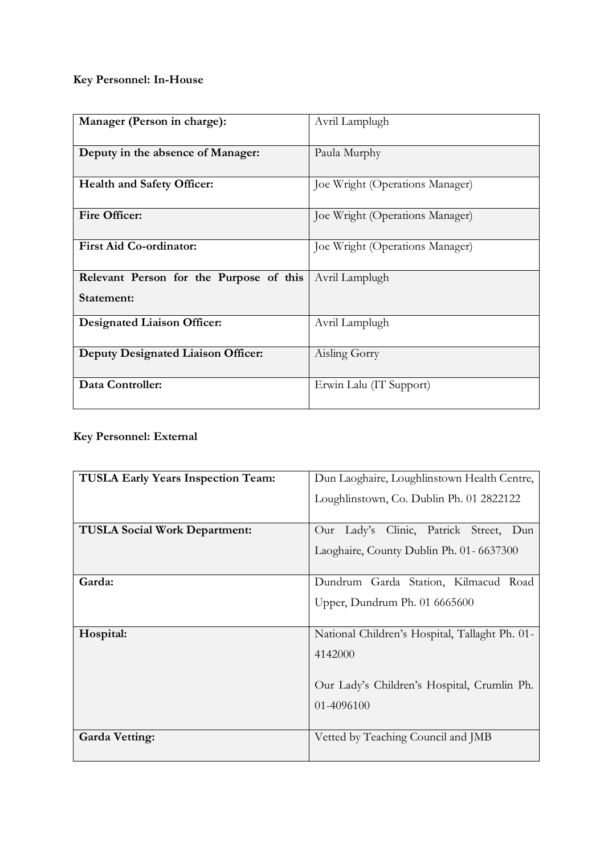## **Key Personnel: In-House**

| Manager (Person in charge):                           | Avril Lamplugh                  |
|-------------------------------------------------------|---------------------------------|
| Deputy in the absence of Manager:                     | Paula Murphy                    |
| <b>Health and Safety Officer:</b>                     | Joe Wright (Operations Manager) |
| <b>Fire Officer:</b>                                  | Joe Wright (Operations Manager) |
| <b>First Aid Co-ordinator:</b>                        | Joe Wright (Operations Manager) |
| Relevant Person for the Purpose of this<br>Statement: | Avril Lamplugh                  |
| <b>Designated Liaison Officer:</b>                    | Avril Lamplugh                  |
| <b>Deputy Designated Liaison Officer:</b>             | Aisling Gorry                   |
| Data Controller:                                      | Erwin Lalu (IT Support)         |

#### **Key Personnel: External**

| <b>TUSLA Early Years Inspection Team:</b> | Dun Laoghaire, Loughlinstown Health Centre,    |
|-------------------------------------------|------------------------------------------------|
|                                           | Loughlinstown, Co. Dublin Ph. 01 2822122       |
| <b>TUSLA Social Work Department:</b>      | Our Lady's Clinic, Patrick Street, Dun         |
|                                           | Laoghaire, County Dublin Ph. 01- 6637300       |
| Garda:                                    | Dundrum Garda Station, Kilmacud Road           |
|                                           | Upper, Dundrum Ph. 01 6665600                  |
| Hospital:                                 | National Children's Hospital, Tallaght Ph. 01- |
|                                           | 4142000                                        |
|                                           | Our Lady's Children's Hospital, Crumlin Ph.    |
|                                           | 01-4096100                                     |
|                                           |                                                |
| <b>Garda Vetting:</b>                     | Vetted by Teaching Council and JMB             |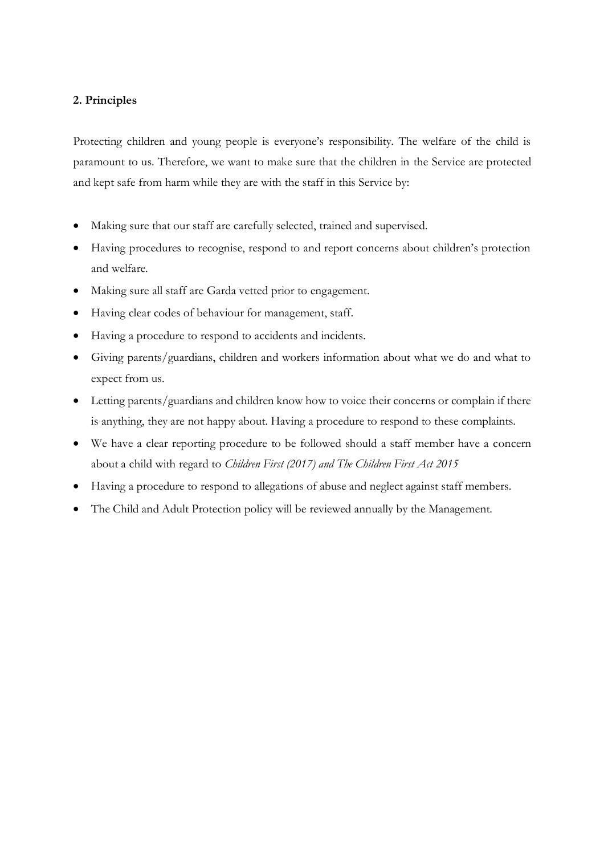#### **2. Principles**

Protecting children and young people is everyone's responsibility. The welfare of the child is paramount to us. Therefore, we want to make sure that the children in the Service are protected and kept safe from harm while they are with the staff in this Service by:

- Making sure that our staff are carefully selected, trained and supervised.
- Having procedures to recognise, respond to and report concerns about children's protection and welfare.
- Making sure all staff are Garda vetted prior to engagement.
- Having clear codes of behaviour for management, staff.
- Having a procedure to respond to accidents and incidents.
- Giving parents/guardians, children and workers information about what we do and what to expect from us.
- Letting parents/guardians and children know how to voice their concerns or complain if there is anything, they are not happy about. Having a procedure to respond to these complaints.
- We have a clear reporting procedure to be followed should a staff member have a concern about a child with regard to *Children First (2017) and The Children First Act 2015*
- Having a procedure to respond to allegations of abuse and neglect against staff members.
- The Child and Adult Protection policy will be reviewed annually by the Management.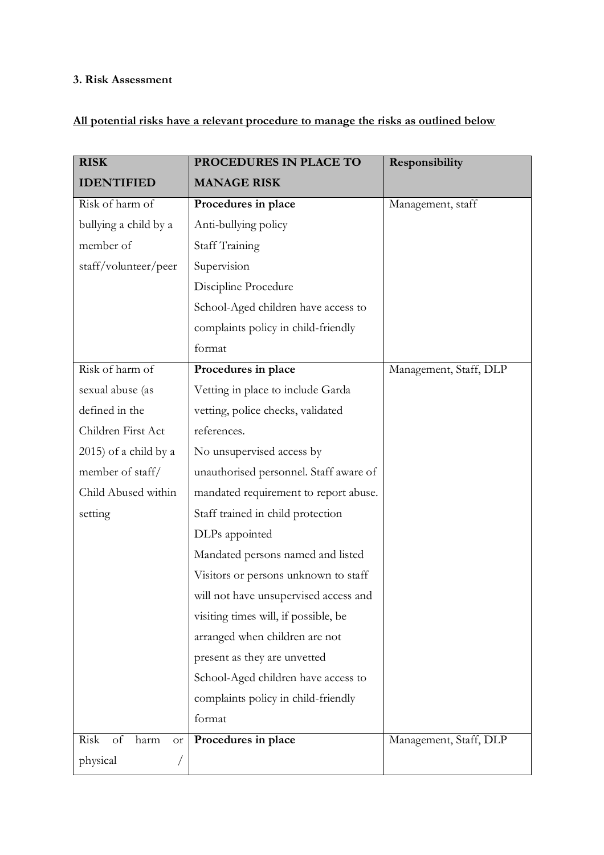## **3. Risk Assessment**

## **All potential risks have a relevant procedure to manage the risks as outlined below**

| <b>RISK</b>                             | PROCEDURES IN PLACE TO                 | Responsibility         |
|-----------------------------------------|----------------------------------------|------------------------|
| <b>IDENTIFIED</b>                       | <b>MANAGE RISK</b>                     |                        |
| Risk of harm of                         | Procedures in place                    | Management, staff      |
| bullying a child by a                   | Anti-bullying policy                   |                        |
| member of                               | <b>Staff Training</b>                  |                        |
| staff/volunteer/peer                    | Supervision                            |                        |
|                                         | Discipline Procedure                   |                        |
|                                         | School-Aged children have access to    |                        |
|                                         | complaints policy in child-friendly    |                        |
|                                         | format                                 |                        |
| Risk of harm of                         | Procedures in place                    | Management, Staff, DLP |
| sexual abuse (as                        | Vetting in place to include Garda      |                        |
| defined in the                          | vetting, police checks, validated      |                        |
| Children First Act                      | references.                            |                        |
| $2015$ ) of a child by a                | No unsupervised access by              |                        |
| member of staff/                        | unauthorised personnel. Staff aware of |                        |
| Child Abused within                     | mandated requirement to report abuse.  |                        |
| setting                                 | Staff trained in child protection      |                        |
|                                         | DLPs appointed                         |                        |
|                                         | Mandated persons named and listed      |                        |
|                                         | Visitors or persons unknown to staff   |                        |
|                                         | will not have unsupervised access and  |                        |
|                                         | visiting times will, if possible, be   |                        |
|                                         | arranged when children are not         |                        |
|                                         | present as they are unvetted           |                        |
|                                         | School-Aged children have access to    |                        |
|                                         | complaints policy in child-friendly    |                        |
|                                         | format                                 |                        |
| Risk<br>$\sigma f$<br>harm<br><b>or</b> | Procedures in place                    | Management, Staff, DLP |
| physical                                |                                        |                        |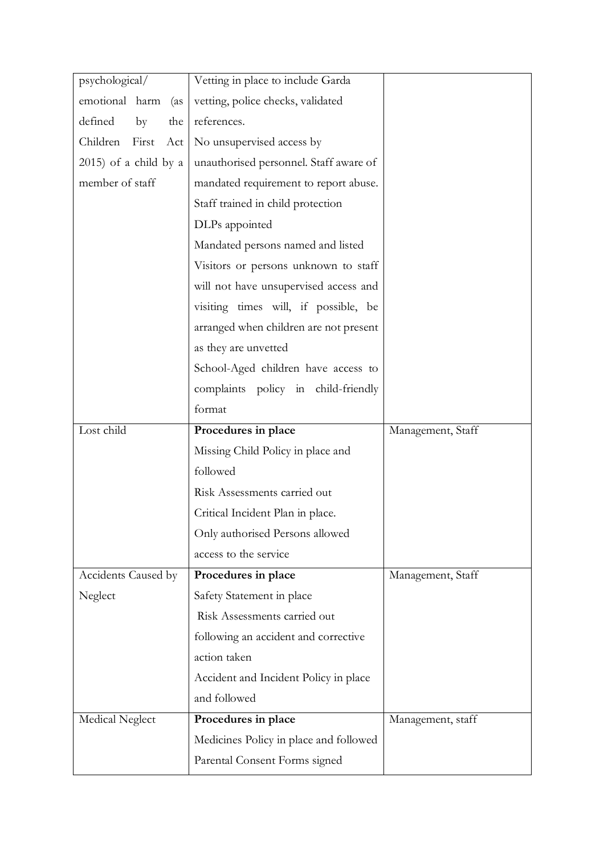| psychological/           | Vetting in place to include Garda      |                   |
|--------------------------|----------------------------------------|-------------------|
| emotional harm<br>(as    | vetting, police checks, validated      |                   |
| defined<br>by<br>the     | references.                            |                   |
| Children First<br>Act    | No unsupervised access by              |                   |
| $2015$ ) of a child by a | unauthorised personnel. Staff aware of |                   |
| member of staff          | mandated requirement to report abuse.  |                   |
|                          | Staff trained in child protection      |                   |
|                          | DLPs appointed                         |                   |
|                          | Mandated persons named and listed      |                   |
|                          | Visitors or persons unknown to staff   |                   |
|                          | will not have unsupervised access and  |                   |
|                          | visiting times will, if possible, be   |                   |
|                          | arranged when children are not present |                   |
|                          | as they are unvetted                   |                   |
|                          | School-Aged children have access to    |                   |
|                          | complaints policy in child-friendly    |                   |
|                          | format                                 |                   |
|                          |                                        |                   |
| Lost child               | Procedures in place                    | Management, Staff |
|                          | Missing Child Policy in place and      |                   |
|                          | followed                               |                   |
|                          | Risk Assessments carried out           |                   |
|                          | Critical Incident Plan in place.       |                   |
|                          | Only authorised Persons allowed        |                   |
|                          | access to the service                  |                   |
| Accidents Caused by      | Procedures in place                    | Management, Staff |
| Neglect                  | Safety Statement in place              |                   |
|                          | Risk Assessments carried out           |                   |
|                          | following an accident and corrective   |                   |
|                          | action taken                           |                   |
|                          | Accident and Incident Policy in place  |                   |
|                          | and followed                           |                   |
| Medical Neglect          | Procedures in place                    | Management, staff |
|                          | Medicines Policy in place and followed |                   |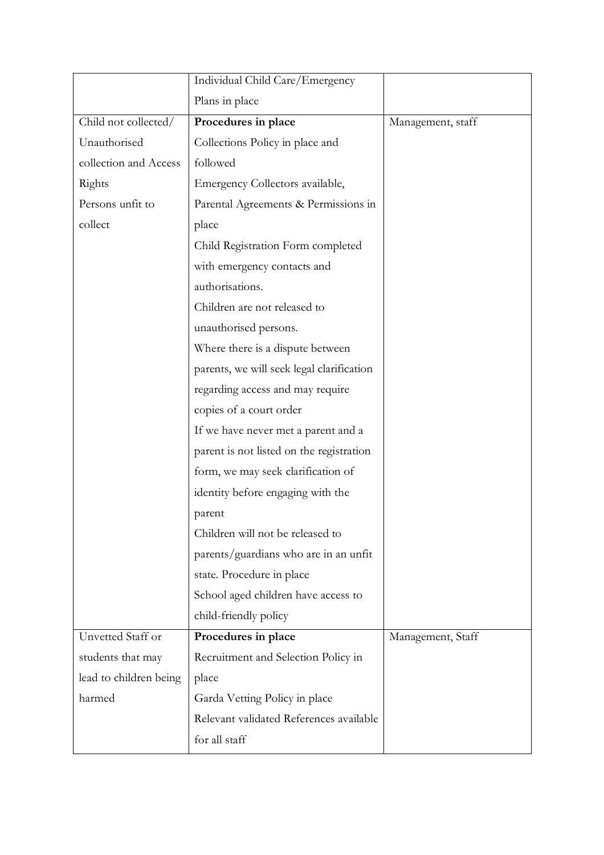|                        | Individual Child Care/Emergency           |                   |
|------------------------|-------------------------------------------|-------------------|
|                        | Plans in place                            |                   |
| Child not collected/   | Procedures in place                       | Management, staff |
| Unauthorised           | Collections Policy in place and           |                   |
| collection and Access  | followed                                  |                   |
| Rights                 | Emergency Collectors available,           |                   |
| Persons unfit to       | Parental Agreements & Permissions in      |                   |
| collect                | place                                     |                   |
|                        | Child Registration Form completed         |                   |
|                        | with emergency contacts and               |                   |
|                        | authorisations.                           |                   |
|                        | Children are not released to              |                   |
|                        | unauthorised persons.                     |                   |
|                        | Where there is a dispute between          |                   |
|                        | parents, we will seek legal clarification |                   |
|                        | regarding access and may require          |                   |
|                        | copies of a court order                   |                   |
|                        | If we have never met a parent and a       |                   |
|                        | parent is not listed on the registration  |                   |
|                        | form, we may seek clarification of        |                   |
|                        | identity before engaging with the         |                   |
|                        | parent                                    |                   |
|                        | Children will not be released to          |                   |
|                        | parents/guardians who are in an unfit     |                   |
|                        | state. Procedure in place                 |                   |
|                        | School aged children have access to       |                   |
|                        | child-friendly policy                     |                   |
| Unvetted Staff or      | Procedures in place                       | Management, Staff |
| students that may      | Recruitment and Selection Policy in       |                   |
| lead to children being | place                                     |                   |
| harmed                 | Garda Vetting Policy in place             |                   |
|                        | Relevant validated References available   |                   |
|                        | for all staff                             |                   |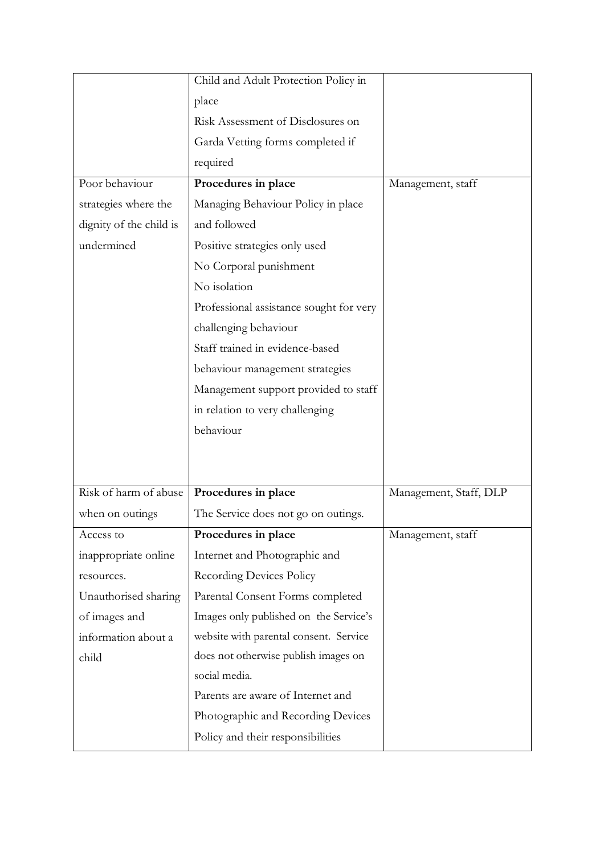|                         | Child and Adult Protection Policy in    |                        |
|-------------------------|-----------------------------------------|------------------------|
|                         | place                                   |                        |
|                         | Risk Assessment of Disclosures on       |                        |
|                         | Garda Vetting forms completed if        |                        |
|                         | required                                |                        |
| Poor behaviour          | Procedures in place                     | Management, staff      |
| strategies where the    | Managing Behaviour Policy in place      |                        |
| dignity of the child is | and followed                            |                        |
| undermined              | Positive strategies only used           |                        |
|                         | No Corporal punishment                  |                        |
|                         | No isolation                            |                        |
|                         | Professional assistance sought for very |                        |
|                         | challenging behaviour                   |                        |
|                         | Staff trained in evidence-based         |                        |
|                         | behaviour management strategies         |                        |
|                         | Management support provided to staff    |                        |
|                         | in relation to very challenging         |                        |
|                         | behaviour                               |                        |
|                         |                                         |                        |
|                         |                                         |                        |
| Risk of harm of abuse   | Procedures in place                     | Management, Staff, DLP |
| when on outings         | The Service does not go on outings.     |                        |
| Access to               | Procedures in place                     | Management, staff      |
| inappropriate online    | Internet and Photographic and           |                        |
| resources.              | <b>Recording Devices Policy</b>         |                        |
| Unauthorised sharing    | Parental Consent Forms completed        |                        |
| of images and           | Images only published on the Service's  |                        |
| information about a     | website with parental consent. Service  |                        |
| child                   | does not otherwise publish images on    |                        |
|                         | social media.                           |                        |
|                         | Parents are aware of Internet and       |                        |
|                         | Photographic and Recording Devices      |                        |
|                         | Policy and their responsibilities       |                        |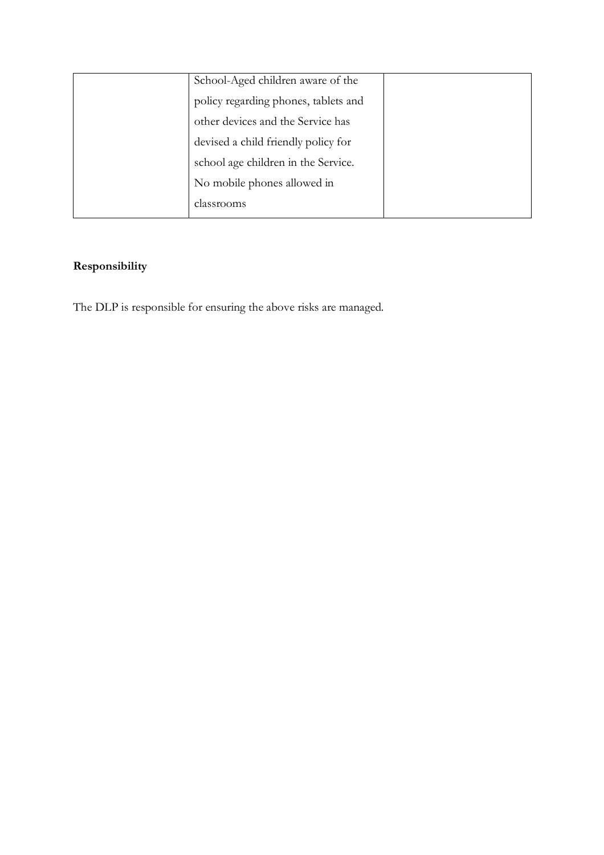| School-Aged children aware of the    |  |
|--------------------------------------|--|
| policy regarding phones, tablets and |  |
| other devices and the Service has    |  |
| devised a child friendly policy for  |  |
| school age children in the Service.  |  |
| No mobile phones allowed in          |  |
| classrooms                           |  |

# **Responsibility**

The DLP is responsible for ensuring the above risks are managed.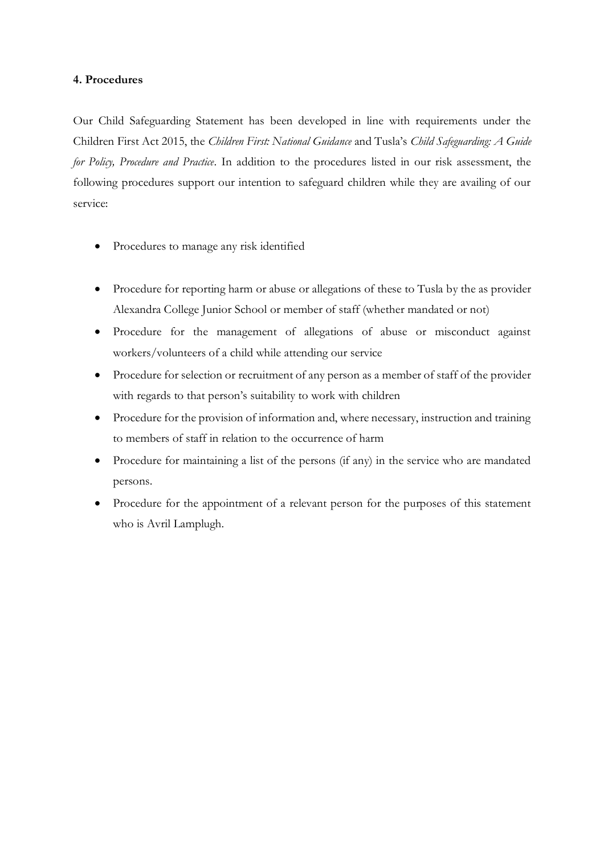#### **4. Procedures**

Our Child Safeguarding Statement has been developed in line with requirements under the Children First Act 2015, the *Children First: National Guidance* and Tusla's *Child Safeguarding: A Guide for Policy, Procedure and Practice*. In addition to the procedures listed in our risk assessment, the following procedures support our intention to safeguard children while they are availing of our service:

- Procedures to manage any risk identified
- Procedure for reporting harm or abuse or allegations of these to Tusla by the as provider Alexandra College Junior School or member of staff (whether mandated or not)
- Procedure for the management of allegations of abuse or misconduct against workers/volunteers of a child while attending our service
- Procedure for selection or recruitment of any person as a member of staff of the provider with regards to that person's suitability to work with children
- Procedure for the provision of information and, where necessary, instruction and training to members of staff in relation to the occurrence of harm
- Procedure for maintaining a list of the persons (if any) in the service who are mandated persons.
- Procedure for the appointment of a relevant person for the purposes of this statement who is Avril Lamplugh.